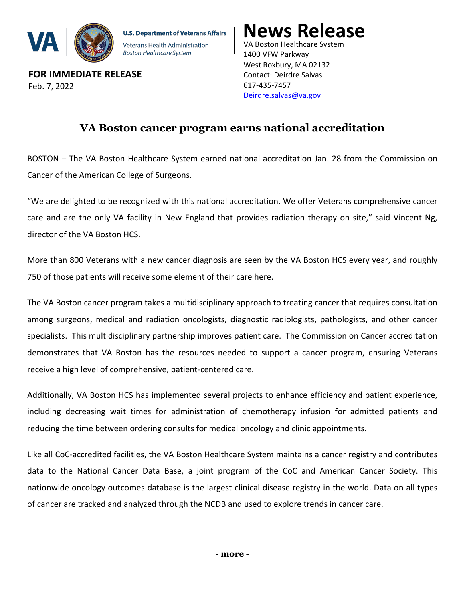

**U.S. Department of Veterans Affairs** Veterans Health Administration Boston Healthcare System

**FOR IMMEDIATE RELEASE** Feb. 7, 2022

VA Boston Healthcare System 1400 VFW Parkway West Roxbury, MA 02132 Contact: Deirdre Salvas 617-435-7457 [Deirdre.salvas@va.gov](mailto:Deirdre.salvas@va.gov)  **News Release**

## **VA Boston cancer program earns national accreditation**

I

BOSTON – The VA Boston Healthcare System earned national accreditation Jan. 28 from the Commission on Cancer of the American College of Surgeons.

"We are delighted to be recognized with this national accreditation. We offer Veterans comprehensive cancer care and are the only VA facility in New England that provides radiation therapy on site," said Vincent Ng, director of the VA Boston HCS.

More than 800 Veterans with a new cancer diagnosis are seen by the VA Boston HCS every year, and roughly 750 of those patients will receive some element of their care here.

The VA Boston cancer program takes a multidisciplinary approach to treating cancer that requires consultation among surgeons, medical and radiation oncologists, diagnostic radiologists, pathologists, and other cancer specialists. This multidisciplinary partnership improves patient care. The Commission on Cancer accreditation demonstrates that VA Boston has the resources needed to support a cancer program, ensuring Veterans receive a high level of comprehensive, patient-centered care.

Additionally, VA Boston HCS has implemented several projects to enhance efficiency and patient experience, including decreasing wait times for administration of chemotherapy infusion for admitted patients and reducing the time between ordering consults for medical oncology and clinic appointments.

Like all CoC-accredited facilities, the VA Boston Healthcare System maintains a cancer registry and contributes data to the National Cancer Data Base, a joint program of the CoC and American Cancer Society. This nationwide oncology outcomes database is the largest clinical disease registry in the world. Data on all types of cancer are tracked and analyzed through the NCDB and used to explore trends in cancer care.